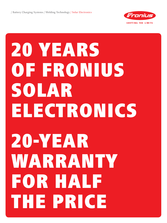

## 20 YEARS OF FRONIUS solar electronics 20-year warranty for half the price